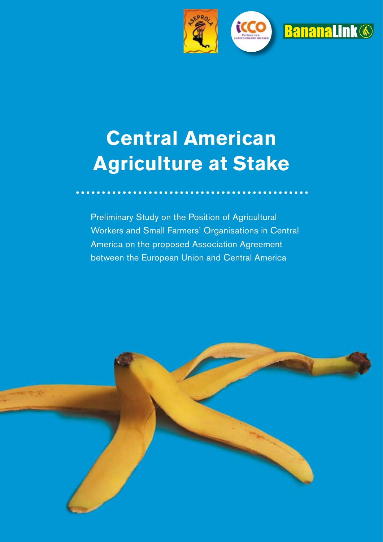

## **Central American Agriculture at Stake**

Preliminary Study on the Position of Agricultural Workers and Small Farmers' Organisations in Central America on the proposed Association Agreement between the European Union and Central America

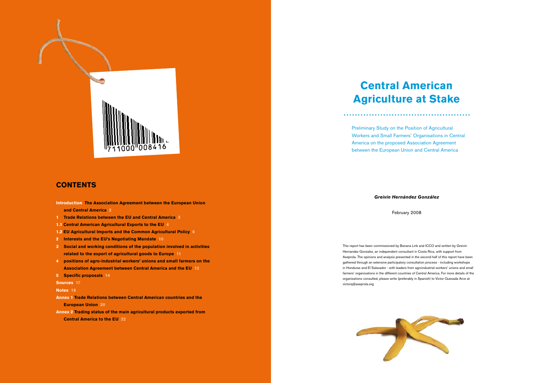#### *Greivin Hernández González*

February 2008

### **Central American Agriculture at Stake**

Preliminary Study on the Position of Agricultural Workers and Small Farmers' Organisations in Central America on the proposed Association Agreement between the European Union and Central America

This report has been commissioned by Banana Link and ICCO and written by Greivin Hernandez Gonzalez, an independent consultant in Costa Rica, with support from Aseprola. The opinions and analysis presented in the second half of this report have been gathered through an extensive participatory consultation process - including workshops in Honduras and El Salavador - with leaders from agroindustrial workers' unions and small farmers' organisations in the different countries of Central America. For more details of the organisations consulted, please write (preferably in Spanish) to Victor Quesada Arce at victorq@aseprola.org





#### **CONTENTS**

**Introduction The Association Agreement between the European Union and Central America 2**

- **1 Trade Relations between the EU and Central America 3**
- **1.1 Central American Agricultural Exports to the EU 4**
- **1.2 EU Agricultural Imports and the Common Agricultural Policy 6**
- **2 Interests and the EU's Negotiating Mandate 10**
- **3 Social and working conditions of the population involved in activities related to the export of agricultural goods to Europe 11**
- **4 positions of agro-industrial workers' unions and small farmers on the Association Agreement between Central America and the EU 12**
- **5 Specific proposals 14**

**Sources 17**

#### **Notes 18**

**Annex 1 Trade Relations between Central American countries and the European Union 20**

**Annex 2 Trading status of the main agricultural products exported from Central America to the EU 22**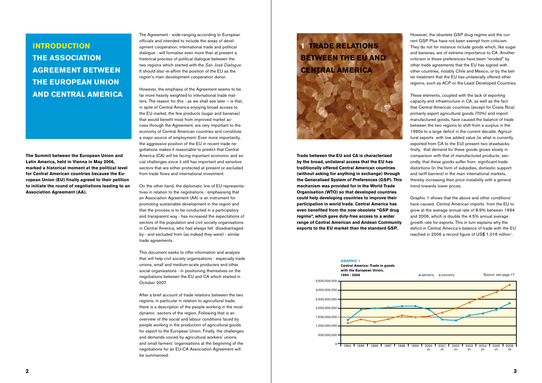**The Summit between the European Union and Latin America, held in Vienna in May 2006, marked a historical moment at the political level for Central American countries because the European Union (EU) finally agreed to their petition to initiate the round of negotiations leading to an Association Agreement (AA).**

The Agreement - wide-ranging according to European officials and intended to include the areas of development cooperation, international trade and political dialogue - will formalise even more than at present a historical process of political dialogue between the two regions which started with the *San José Dialogue.* It should also re-affirm the position of the EU as the region's main development cooperation donor.

However, the emphasis of the Agreement seems to be far more heavily weighted to international trade matters. The reason for this - as we shall see later – is that, in spite of Central America enjoying broad access to the EU market, the few products (sugar and bananas) that would benefit most from improved market access through the Agreement, are very important to the economy of Central American countries and constitute a major source of employment. Even more importantly, the aggressive position of the EU in recent trade negotiations makes it reasonable to predict that Central America (CA) will be facing important economic and social challenges since it still has important and sensitive sectors that are either protected at present or excluded from trade flows and international investment.

On the other hand, the diplomatic line of EU representatives in relation to the negotiations - emphasising that an Association Agreement (AA) is an instrument for promoting sustainable development in the region and that the process is to be conducted in a participatory and transparent way - has increased the expectations of sectors of the population and civil society organisations in Central America, who had always felt disadvantaged by - and excluded from (as indeed they were) - similar trade agreements.

This document seeks to offer information and analysis that will help civil society organisations - especially trade unions, small and medium-scale producers and other social organisations - in positioning themselves on the negotiations between the EU and CA which started in October 2007.

After a brief account of trade relations between the two regions, in particular in relation to agricultural trade, there is a description of the people working in the most dynamic sectors of the region. Following that is an overview of the social and labour conditions faced by people working in the production of agricultural goods for export to the European Union. Finally, the challenges and demands voiced by agricultural workers' unions and small farmers' organisations at the beginning of the negotiations for an EU-CA Association Agreement will be summarised.

### **Introduction The Association Agreement between the European Union and Central America**

### **1 Trade Relations between the EU and Central America**



**Trade between the EU and CA is characterised by the broad, unilateral access that the EU has traditionally offered Central American countries (without asking for anything in exchange) through the Generalised System of Preferences (GSP). This mechanism was provided for in the World Trade Organisation (WTO) so that developed countries could help developing countries to improve their participation in world trade. Central America has even benefited from the now obsolete "GSP drug regime", which gave duty-free access to a wider range of Central American and Andean Community exports to the EU market than the standard GSP.**

However, the obsolete GSP drug regime and the current GSP Plus have not been exempt from criticism. They do not for instance include goods which, like sugar and bananas, are of extreme importance to CA. Another criticism is these preferences have been "eroded" by other trade agreements that the EU has signed with other countries, notably Chile and Mexico, or by the better treatment that the EU has unilaterally offered other regions, such as ACP or the Least Developed Countries.

These elements, coupled with the lack of exporting capacity and infrastructure in CA, as well as the fact that Central American countries (except for Costa Rica) primarily export agricultural goods (70%) and import manufactured goods, have caused the balance of trade between the two regions to shift from a surplus in the 1990s to a large deficit in the current decade. Agricultural exports with low added value (ie what is currently exported from CA to the EU) present two drawbacks: firstly, that demand for these goods grows slowly in comparison with that of manufactured products; secondly, that these goods suffer from significant trade distortions (in the form of subsidies, domestic support and tariff barriers) in the main international markets, thereby increasing their price instability with a general trend towards lower prices.

Graphic 1 shows that the above and other conditions<sup>1</sup> have caused Central American imports from the EU to grow at the average annual rate of 8.9% between 1994 and 2006, which is double the 4.5% annual average growth rate for exports. This in turn explains why the deficit in Central America's balance of trade with the EU reached in 2006 a record figure of US\$ 1,016 million<sup>2</sup>.

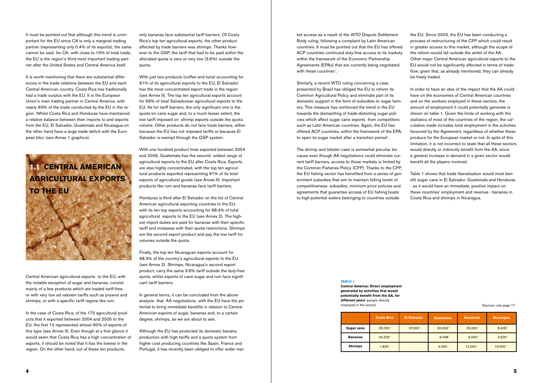It must be pointed out that although this trend is unimportant for the EU since CA is only a marginal trading partner (representing only 0.4% of its exports), the same cannot be said for CA: with close to 10% of total trade, the EU is the region's third most important trading partner after the United States and Central America itself.

It is worth mentioning that there are substantial differences in the trade relations between the EU and each Central American country. Costa Rica has traditionally had a trade surplus with the EU. It is the European Union's main trading partner in Central America, with nearly 60% of the trade conducted by the EU in the region. Whilst Costa Rica and Honduras have maintained a relative balance between their imports to and exports from the EU, El Salvador, Guatemala and Nicaragua on the other hand have a large trade deficit with the European bloc (see Annex 1 graphics).



Central American agricultural exports to the EU, with the notable exception of sugar and bananas, consist mainly of a few products which are traded tariff-free, or with very low ad valorem tariffs such as prawns and shrimps, or with a specific tariff regime like rum.

In the case of Costa Rica, of the 173 agricultural products that it exported between 2004 and 2005 to the EU, the first 10 represented almost 90% of exports of this type (see Annex II). Even though at a first glance it would seem that Costa Rica has a high concentration of exports, it should be noted that it has the lowest in the region. On the other hand, out of these ten products,

only bananas face substantial tariff barriers. Of Costa Rica's top ten agricultural exports, the other product affected by trade barriers was shrimps. Thanks however to the GSP, the tariff that had to be paid within the allocated quota is zero or very low (3.6%) outside the quota.

ket access as a result of the WTO Dispute Settlement Body ruling, following a complaint by Latin American countries. It must be pointed out that the EU has offered ACP countries continued duty-free access to its markety within the framework of the Economic Partnership Agreements (EPAs) that are currently being negotiated with these countries<sup>3</sup>.

With just two products (coffee and tuna) accounting for 91% of its agricultural exports to the EU, El Salvador has the most concentrated export trade in the region (see Annex II). The top ten agricultural exports account for 99% of total Salvadorean agricultural exports to the EU. As for tariff barriers, the only significant one is the quota on cane sugar and, to a much lesser extent, the low tariff imposed on shrimp exports outside the quota volume. Other products do not face trade barriers, either because the EU has not imposed tariffs or because El Salvador is exempt through the GSP system.

With one hundred product lines exported between 2004 and 2006, Guatemala has the second widest range of agricultural exports to the EU after Costa Rica. Exports are also highly concentrated, with the top ten agricultural products exported representing 91% of its total exports of agricultural goods (see Annex II). Important products like rum and bananas face tariff barriers.

Honduras is third after El Salvador on the list of Central American agricultural exporting countries to the EU, with its ten top exports accounting for 98.4% of total agricultural exports to the EU (see Annex 2). The highest import duties are paid for bananas with their specific tariff and molasses with their quota restrictions. Shrimps are the second export product and pay the low tariff for volumes outside the quota.

Finally, the top ten Nicaraguan exports account for 98.3% of the country's agricultural exports to the EU (see Annex 2). Shrimps, Nicaragua's second export product, carry the same 3.6% tariff outside the duty-free quota, whilst exports of cane sugar and rum face significant tariff barriers.

In general terms, it can be concluded from the above analysis that AA negotiations with the EU have the potential to bring immediate benefits in relation to Central American exports of sugar, bananas and, to a certain degree, shrimps, as we are about to see.

Although the EU has protected its domestic banana production with high tariffs and a quota system from higher cost producing countries like Spain, France and Portugal, it has recently been obliged to offer wider marSimilarly, a recent WTO ruling concerning a case presented by Brazil has obliged the EU to reform its Common Agricultural Policy and eliminate part of its domestic support in the form of subsidies to sugar farmers. This measure has reinforced the trend in the EU towards the dismantling of trade-distorting sugar policies which affect sugar cane exports from competitors such as Latin American countries. Again, the EU has offered ACP countries, within the framework of the EPA, to open its sugar market after a transition period4.

The shrimp and lobster case is somewhat peculiar because even though AA negotiations could eliminate current tariff barriers, access to those markets is limited by the Common Fisheries Policy (CFP). Thanks to the CFP, the EU fishing sector has benefited from a series of government subsidies that aim to maintain falling levels of competitiveness: subsidies, minimum price policies and agreements that guarantee access of EU fishing boats to high-potential waters belonging to countries outside

the EU. Since 2003, the EU has been conducting a process of restructuring of the CFP which could result in greater access to this market, although the scope of the reform would fall outside the ambit of the AA. Other major Central American agricultural exports to the EU would not be significantly affected in terms of tradeflow, given that, as already mentioned, they can already be freely traded.

In order to have an idea of the impact that the AA could have on the economies of Central American countries and on the workers employed in these sectors, the amount of employment it could potentially generate is shown on table 1. Given the limits of working with the statistics of most of the countries of the region, the calculation made includes total employment in the activities favoured by the Agreement, regardless of whether these produce for the European market or not. In spite of this limitation, it is not incorrect to state that all these sectors would directly or indirectly benefit from the AA, since a general increase in demand in a given sector would benefit all the players involved.

Table 1 shows that trade liberalisation would most benefit sugar cane in El Salvador, Guatemala and Honduras - as it would have an immediate, positive impact on these countries' employment and revenue - bananas in Costa Rica and shrimps in Nicaragua.

#### **Table 1**

**central America: Direct employment generated by activities that would potentially benefit from the AA, for different years** (people directly employed in the sector)

|                | <b>Costa Rica</b> | <b>El Salvador</b>  | Guatemala           | <b>Honduras</b>     | Nicaragua          |
|----------------|-------------------|---------------------|---------------------|---------------------|--------------------|
| Sugar cane     | 25.000            | 37,000 <sup>2</sup> | 60.000 <sup>3</sup> | 25,000 <sup>4</sup> | 8.405              |
| <b>Bananas</b> | 34.2326           |                     | 6.598               | $6.000^{8}$         | 3.500 <sup>9</sup> |
| <b>Shrimps</b> | 1.80010           |                     | 5.00011             | 12.00012            | 16.00013           |

#### Sources: see page 17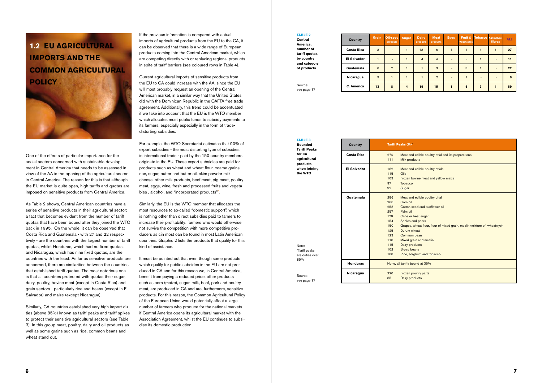### **1.2 EU Agricultural Imports and the Common Agricultural Policy**



One of the effects of particular importance for the social sectors concerned with sustainable development in Central America that needs to be assessed in view of the AA is the opening of the agricultural sector in Central America. The reason for this is that although the EU market is quite open, high tariffs and quotas are imposed on sensitive products from Central America.

As Table 2 shows, Central American countries have a series of sensitive products in their agricultural sector; a fact that becomes evident from the number of tariff quotas that have been bound after they joined the WTO back in 1995. On the whole, it can be observed that Costa Rica and Guatemala - with 27 and 22 respectively - are the countries with the largest number of tariff quotas, whilst Honduras, which had no fixed quotas, and Nicaragua, which has nine fixed quotas, are the countries with the least. As far as sensitive products are concerned, there are similarities between the countries that established tariff quotas. The most notorious one is that all countries protected with quotas their sugar, dairy, poultry, bovine meat (except in Costa Rica) and grain sectors - particularly rice and beans (except in El Salvador) and maize (except Nicaragua).

Similarly, CA countries established very high import duties (above 85%) known as tariff peaks and tariff spikes to protect their sensitive agricultural sectors (see Table 3). In this group meat, poultry, dairy and oil products as well as some grains such as rice, common beans and wheat stand out.

If the previous information is compared with actual imports of agricultural products from the EU to the CA, it can be observed that there is a wide range of European products coming into the Central American market, which are competing directly with or replacing regional products in spite of tariff barriers (see coloured rows in Table 4).

Current agricultural imports of sensitive products from the EU to CA could increase with the AA, since the EU will most probably request an opening of the Central American market, in a similar way that the United States did with the Dominican Republic in the CAFTA free trade agreement. Additionally, this trend could be accentuated if we take into account that the EU is the WTO member which allocates most public funds to subsidy payments to its farmers, especially especially in the form of tradedistorting subsidies.

> **Tariff Peaks (** 274 Meat a 111 Milk pr  $182$  Meat and  $25$ 115 Oils 103 Frozen 97 Tobacc 92 Sugar 286 Meat a 268 Corn of 258 Cotton  $257$  Palm of  $178$  Cane d 154 Apples 125 Durum  $123$  Comm 118 Mixed 115 Dairy  $p$  $102$  Broad  $100$  Rice, s None, all tariffs 220 Frozen 85 Dairy p **El Salvador Costa Rica Guatemala Honduras Nicaragua**

For example, the WTO Secretariat estimates that 90% of export subsidies - the most distorting type of subsidies in international trade - paid by the 150 country members originate in the EU. These export subsidies are paid for products such as wheat and wheat flour, coarse grains, rice, sugar, butter and butter oil, skim powder milk, cheese, other milk products, beef meat, pig meat, poultry meat, eggs, wine, fresh and processed fruits and vegetables , alcohol, and "incorporated products"5.

Similarly, the EU is the WTO member that allocates the most resources to so-called "domestic support", which is nothing other than direct subsidies paid to farmers to increase their profitability; farmers who would otherwise not survive the competition with more competitive producers as cin most oan be found in most Latin American countries. Graphic 2 lists the products that qualify for this kind of assistance.

It must be pointed out that even though some products which qualify for public subsides in the EU are not produced in CA and for this reason we, in Central America, benefit from paying a reduced price, other products such as corn (maize), sugar, milk, beef, pork and poultry meat, are produced in CA and are, furthermore, sensitive products. For this reason, the Common Agricultural Policy of the European Union would potentially affect a large number of farmers who produce for the national markets if Central America opens its agricultural market with the Association Agreement, whilst the EU continues to subsidise its domestic production.

#### **Table 2 central**

**America: number of tariff quotas by country and category of products**

| <b>Country</b>     | <b>Grain</b> | Oil-seed<br>products | <b>Sugar</b>   | <b>Dairy</b><br>products | Meat<br>products | <b>Eggs</b> | Fruit &<br><b>Vegetables</b> |                         | Tobacco Agricultural<br>fibres | <b>ALL</b> |
|--------------------|--------------|----------------------|----------------|--------------------------|------------------|-------------|------------------------------|-------------------------|--------------------------------|------------|
| <b>Costa Rica</b>  | 3            |                      |                | 13                       | 6                |             |                              |                         | 1                              | 27         |
| <b>El Salvador</b> |              |                      |                | $\overline{4}$           | $\overline{4}$   |             |                              |                         |                                | 11         |
| Guatemala          | 6            | $\overline{7}$       |                |                          | 3                |             | 3                            |                         |                                | 22         |
| Nicaragua          | 3            |                      |                |                          | $\overline{2}$   |             |                              |                         |                                | 9          |
| C. America         | 13           | 8                    | $\overline{4}$ | 19                       | 15               | 1           | 5                            | $\overline{\mathbf{3}}$ | 1                              | 69         |

**Table 3 Bounded Tariff Peaks for CA agricultural products when joining the WTO**

|     | Tariff Peaks (%) <sup>^</sup>                                            |  |  |  |  |  |
|-----|--------------------------------------------------------------------------|--|--|--|--|--|
| 274 | Meat and edible poultry offal and its preparations                       |  |  |  |  |  |
| 111 | <b>Milk products</b>                                                     |  |  |  |  |  |
| 182 | Meat and edible poultry offals                                           |  |  |  |  |  |
| 115 | Oils                                                                     |  |  |  |  |  |
| 103 | Frozen bovine meat and yellow maize                                      |  |  |  |  |  |
| 97  | Tobacco                                                                  |  |  |  |  |  |
| 92  | Sugar                                                                    |  |  |  |  |  |
| 286 | Meat and edible poultry offal                                            |  |  |  |  |  |
| 268 | Corn oil                                                                 |  |  |  |  |  |
| 258 | Cotton seed and sunflower oil                                            |  |  |  |  |  |
| 257 | Palm oil                                                                 |  |  |  |  |  |
| 178 | Cane or beet sugar                                                       |  |  |  |  |  |
| 154 | Apples and pears                                                         |  |  |  |  |  |
| 150 | Grapes, wheat flour, flour of mixed grain, meslin (mixture of wheat/rye) |  |  |  |  |  |
| 125 | Durum wheat                                                              |  |  |  |  |  |
| 123 | Common bean                                                              |  |  |  |  |  |
| 118 | Mixed grain and meslin                                                   |  |  |  |  |  |
| 115 | Dairy products                                                           |  |  |  |  |  |
| 102 | <b>Broad beans</b>                                                       |  |  |  |  |  |
| 100 | Rice, sorghum and tobacco                                                |  |  |  |  |  |
|     | None, all tariffs bound at 35%                                           |  |  |  |  |  |
| 220 | Frozen poultry parts                                                     |  |  |  |  |  |
| 85  | Dairy products                                                           |  |  |  |  |  |

Source: see page 17

Source: see page 17

Note: A Tariff peaks are duties over 85%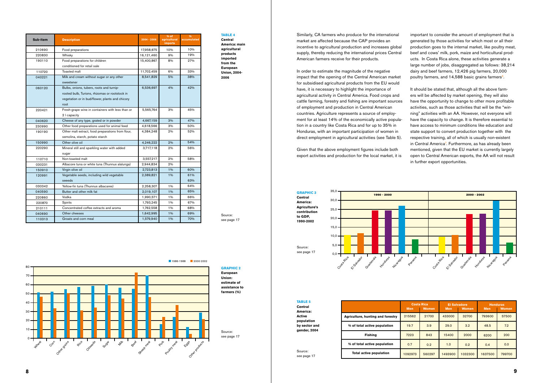Similarly, CA farmers who produce for the international market are affected because the CAP provides an incentive to agricultural production and increases global supply, thereby reducing the international prices Central American farmers receive for their products.

important to consider the amount of employment that is generated by those activities for which most or all their production goes to the internal market, like poultry meat, beef and cows' milk, pork, maize and horticultural products. In Costa Rica alone, these activities generate a large number of jobs, disaggregated as follows: 38,214 dairy and beef farmers, 12,426 pig farmers, 20,000 poultry farmers, and 14,588 basic grains farmers<sup>6</sup>.

In order to estimate the magnitude of the negative impact that the opening of the Central American market for subsidised agricultural products from the EU would have, it is necessary to highlight the importance of agricultural activity in Central America. Food crops and cattle farming, forestry and fishing are important sources of employment and production in Central American countries. Agriculture represents a source of employment for at least 14% of the economically active population in a country like Costa Rica and for up to 35% in Honduras, with an important participation of women in direct employment in agricultural activities (see Table 5).

Given that the above employment figures include both export activities and production for the local market, it is

It should be stated that, although all the above farmers will be affected by market opening, they will also have the opportunity to change to other more profitable activities, such as those activities that will be the "winning" activities with an AA. However, not everyone will have the capacity to change. It is therefore essential to have access to minimum conditions like education and state support to convert production together with the respective training, all of which is usually non-existent in Central America<sup>7</sup>. Furthermore, as has already been mentioned, given that the EU market is currently largely open to Central American exports, the AA will not result in further export opportunities.

**TABLE 5 Central** 

**Table 4**

**Central America: main agricultural products imported from the European Union, 2004- 2006**

| Sub-item | <b>Description</b>                                                                                                                                    | $2004 - 2006$ | $%$ of<br>agricultural<br><b>imports</b> | $\frac{9}{6}$<br>accumulated |
|----------|-------------------------------------------------------------------------------------------------------------------------------------------------------|---------------|------------------------------------------|------------------------------|
| 210690   | Food preparations                                                                                                                                     | 17,958,675    | 10%                                      | 10%                          |
| 220830   | Whisky                                                                                                                                                | 16,121,460    | 9%                                       | 19%                          |
| 190110   | Food preparations for children<br>conditioned for retail sale                                                                                         | 15,400,867    | 8%                                       | 27%                          |
| 110720   | Toasted malt                                                                                                                                          | 11,702,459    | 6%                                       | 33%                          |
| 040221   | Milk and cream without sugar or any other<br>sweetener                                                                                                | 8,541,829     | 5%                                       | 38%                          |
| 060120   | Bulbs, onions, tubers, roots and turnip-<br>rooted bulb, Turions, rhizomas or rootstock in<br>vegetation or in bud/flower, plants and chicory<br>root | 6,536,697     | 4%                                       | 42%                          |
| 220421   | Fresh-grape wine in containers with less than or<br>2   capacity                                                                                      | 5,565,764     | 3%                                       | 45%                          |
| 040620   | Cheese of any type, grated or in powder                                                                                                               | 4,667,159     | 3%                                       | 47%                          |
| 230990   | Other food preparations used for animal feed                                                                                                          | 4,618,566     | 3%                                       | 50%                          |
| 190190   | Other malt extract, food preparations from flour,<br>semolina, starch, potato starch                                                                  | 4,384,248     | 2%                                       | 52%                          |
| 150990   | Other olive oil                                                                                                                                       | 4,246,222     | 2%                                       | 54%                          |
| 220290   | Mineral still and sparkling water with added<br>sugar                                                                                                 | 3,717,118     | 2%                                       | 56%                          |
| 110710   | Non-toasted malt                                                                                                                                      | 3,557,217     | 2%                                       | 58%                          |
| 030231   | Albacore tuna or white tuna (Thunnus alalunga)                                                                                                        | 2,944,834     | 2%                                       |                              |
| 150910   | Virgin olive oil                                                                                                                                      | 2,723,813     | 1%                                       | 60%                          |
| 120991   | Vegetable seeds, including wild vegetable<br>seeeds                                                                                                   | 2,389,821     | 1%                                       | 61%<br>63%                   |
| 030342   | Yellow-fin tuna (Thunnus albacares)                                                                                                                   | 2,258,307     | 1%                                       | 64%                          |
| 040590   | Butter and other milk fat                                                                                                                             | 2,019,107     | 1%                                       | 65%                          |
| 220860   | Vodka                                                                                                                                                 | 1,990,571     | 1%                                       | 66%                          |
| 220870   | Spirits                                                                                                                                               | 1,793,245     | 1%                                       | 67%                          |
| 210111   | Concentrated coffee extracts and aroma                                                                                                                | 1,762,558     | 1%                                       | 68%                          |
| 040690   | Other cheeses                                                                                                                                         | 1,642,995     | 1%                                       | 69%                          |
| 110313   | Groats and corn meal                                                                                                                                  | 1,579,940     | 1%                                       | 70%                          |

**Agriculture, hunting and forestry**

**% of total active population**

**Fishing**

**% of total active population Total active population**

**America: Active population by sector and gender, 2004**

| <b>Costa Rica</b><br><b>Women</b><br><b>Men</b> |        | <b>El Salvadore</b><br><b>Men</b> | <b>Women</b> | <b>Honduras</b><br><b>Women</b><br><b>Men</b> |        |  |
|-------------------------------------------------|--------|-----------------------------------|--------------|-----------------------------------------------|--------|--|
| 215562                                          | 21700  | 32700<br>433000                   |              | 793600                                        | 57500  |  |
| 19.7                                            | 3.9    | 29.0<br>3.2                       |              | 48.5                                          | 7.2    |  |
| 7223                                            | 843    | 15400                             | 2000         | 6200                                          | 200    |  |
| 0.7                                             | 0.2    | 1.0<br>0.2                        |              | 0.4                                           | 0.0    |  |
| 1092973                                         | 560297 | 1493900                           | 1032300      | 1637500                                       | 799700 |  |

**GRAPHIC 3 Central America: Agriculture's contribution to GDP, 1990-2002**



**GRAPHIC 2 European Union: estimate of assistance to** 

**farmers (%)**



Source: see page 17

Source: see page 17

> Source: see page 17

Source: see page 17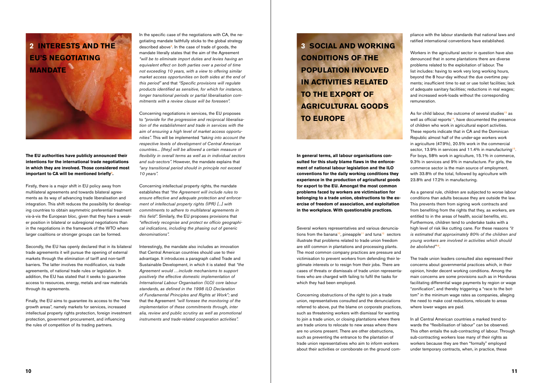# **2 Interests and the EU's Negotiating Mandate**

**The EU authorities have publicly announced their intentions for the international trade negotiations in which they are involved. Those considered most**  important to CA will be mentioned briefly<sup>8</sup>.

Firstly, there is a major shift in EU policy away from multilateral agreements and towards bilateral agreements as its way of advancing trade liberalisation and integration. This shift reduces the possibility for developing countries to obtain asymmetric preferential treatment vis-à-vis the European bloc, given that they have a weaker position in bilateral or subregional negotiations than in the negotiations in the framework of the WTO where larger coalitions or stronger groups can be formed.

Secondly, the EU has openly declared that in its bilateral trade agreements it will pursue the opening of external markets through the elimination of tariff and non-tariff barriers. The latter involves the modification, via trade agreements, of national trade rules or legislation. In addition, the EU has stated that it seeks to guarantee access to resources, energy, metals and raw materials through its agreements.

In the specific case of the negotiations with CA, the negotiating mandate faithfully sticks to the global strategy described above<sup>9</sup>. In the case of trade of goods, the mandate literally states that the aim of the Agreement *"will be to eliminate import duties and levies having an equivalent effect on both parties over a period of time not exceeding 10 years, with a view to offering similar market access opportunities on both sides at the end of this period"* and that *"Specific provisions will regulate products identified as sensitive, for which for instance, longer transitional periods or partial liberalisation commitments with a review clause will be foreseen".*

Finally, the EU aims to guarantee its access to the "new growth areas", namely markets for services, increased intellectual property rights protection, foreign investment protection, government procurement, and influencing the rules of competition of its trading partners.

Concerning negotiations in services, the EU proposes to *"provide for the progressive and reciprocal liberalisation of the establishment and trade in services with the aim of ensuring a high level of market access opportunities".* This will be implemented *"taking into account the respective levels of development of Central American countries... [they] will be allowed a certain measure of flexibility in overall terms as well as in individual sectors and sub-sectors".* However, the mandate explains that *"any transitional period should in principle not exceed 10 years".*

Concerning intellectual property rights, the mandate establishes that *"the Agreement will include rules to ensure effective and adequate protection and enforcement of intellectual property rights (IPR) [...] with commitments to adhere to multilateral agreements in this field".* Similarly, the EU proposes provisions that *"effectively recognise and protect ex officio geographical indications, including the phasing out of generic denominations".*

As for child labour, the outcome of several studies<sup>13</sup> as well as official reports<sup>14</sup>, have documented the presence of children who work in agricultural export activities. These reports indicate that in CA and the Dominican Republic almost half of the under-age workers work in agriculture (47.9%), 20.5% work in the commercial sector, 13.9% in services and 11.4% in manufacturing<sup>15</sup>. For boys, 58% work in agriculture, 15.1% in commerce, 9.3% in services and 9% in manufacture. For girls, the commerce sector is the main source of employment, with 33.8% of the total, followed by agriculture with 23.8% and 17.2% in manufacturing.

Interestingly, the mandate also includes an innovation that Central American countries should use to their advantage. It introduces a paragraph called Trade and Sustainable Development, in which it is stated that *"the Agreement would …include mechanisms to support positively the effective domestic implementation of International Labour Organisation (ILO) core labour standards, as defined in the 1998 ILO Declaration of Fundamental Principles and Rights at Work";* and that the Agreement *"will foresee the monitoring of the implementation of these commitments through, inter alia, review and public scrutiny as well as promotional instruments and trade-related cooperation activities".*

**3 Social and working conditions of the population involved in activities related to the export of agricultural goods to Europe**

**In general terms, all labour organisations consulted for this study blame flaws in the enforcement of national labour legislation and the ILO conventions for the daily working conditions they experience in the production of agricultural goods for export to the EU. Amongst the most common problems faced by workers are victimisation for belonging to a trade union, obstructions to the exercise of freedom of association, and exploitation in the workplace. With questionable practices.**

Several workers representatives and various denunciations from the banana<sup>10</sup>, pineapple<sup>11</sup> and tuna<sup>12</sup> sectors illustrate that problems related to trade union freedom are still common in plantations and processing plants. The most common company practices are pressure and victimisation to prevent workers from defending their legitimate interests or to resign from their jobs. There are cases of threats or dismissals of trade union representatives who are charged with failing to fulfil the tasks for which they had been employed.

Concerning obstructions of the right to join a trade union, representatives consulted and the denunciations referred to above, put the blame on corporate practices, such as threatening workers with dismissal for wanting to join a trade union, or closing plantations where there are trade unions to relocate to new areas where there are no unions present. There are other obstructions, such as preventing the entrance to the plantation of trade union representatives who aim to inform workers about their activities or corroborate on the ground compliance with the labour standards that national laws and ratified international conventions have established.

Workers in the agricultural sector in question have also denounced that in some plantations there are diverse problems related to the exploitation of labour. The list includes: having to work very long working hours, beyond the 8 hour-day without the due overtime payments; insufficient time to eat or use toilet facilities; lack of adequate sanitary facilities; reductions in real wages; and increased work-loads without the corresponding remuneration.

As a general rule, children are subjected to worse labour conditions than adults because they are outside the law. This prevents them from signing work contracts and from benefiting from the rights that they, as workers, are entitled to in the areas of health, social benefits, etc. Furthermore, children tend to undertake tasks with a high level of risk like cutting cane. For these reasons *"it is estimated that approximately 80% of the children and young workers are involved in activities which should be abolished"*16.

The trade union leaders consulted also expressed their concerns about governmental practices which, in their opinion, hinder decent working conditions. Among the main concerns are some provisions such as in Honduras facilitating differential wage payments by region or wage "zonification", and thereby triggering a "race to the bottom" in the minimum wage rates as companies, alleging the need to make cost reductions, relocate to areas where lower wages are paid.

In all Central American countries a marked trend towards the "flexibilisation of labour" can be observed. This often entails the sub-contracting of labour. Through sub-contracting workers lose many of their rights as workers because they are then "formally" employed under temporary contracts, when, in practice, these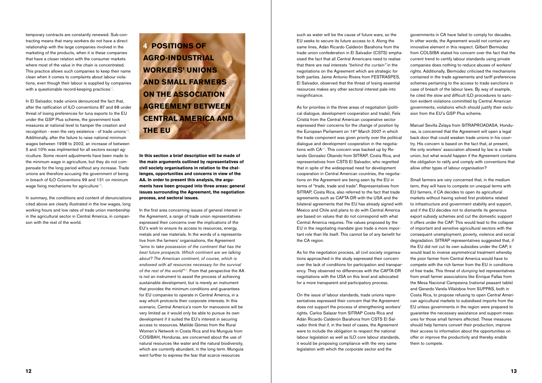temporary contracts are constantly renewed. Sub-contracting means that many workers do not have a direct relationship with the large companies involved in the marketing of the products, when it is these companies that have a closer relation with the consumer markets where most of the value in the chain is concentrated. This practice allows such companies to keep their name clean when it comes to complaints about labour violations, even though their labour is supplied by companies with a questionable record-keeping practices<sup>17</sup>.

In El Salvador, trade unions denounced the fact that, after the ratification of ILO conventions 87 and 98 under threat of losing preferences for tuna exports to the EU under the GSP Plus scheme, the government took measures at national level to hamper the creation and recognition - even the very existence - of trade unions<sup>18</sup>. Additionally, after the failure to raise national minimum wages between 1998 to 2002, an increase of between 5 and 10% was implmented for all sectors except agriculture. Some recent adjustments have been made to the minimum wage in agriculture, but they do not compensate for the long period without any increase. Trade unions are therefore accusing the government of being in breach of ILO Conventions 99 and 131 on minimum wage fixing mechanisms for agriculture<sup>19</sup>.

In summary, the conditions and content of denunciations cited above are clearly illustrated in the low wages, long working hours and low rates of trade union membership in the agricultural sector in Central America, in comparison with the rest of the world.

**4 Positions of agro-industrial workers' unions and small farmers on the Association Agreement between Central America and the EU** 

**In this section a brief description will be made of the main arguments outlined by representatives of civil society organisations in relation to the challenges, opportunities and concerns in view of the AA. In order to present this analysis, the arguments have been grouped into three areas: general issues surrounding the Agreement, the negotiation process, and sectoral issues.**

As for priorities in the three areas of negotiation (political dialogue, development cooperation and trade), Felix Cristiá from the Central American cooperative sector expressed their concerns for the change of position by the European Parliament on 14<sup>th</sup> March 2007 in which the trade component was given priority over the political dialogue and development cooperation in the negotiations with  $CA<sup>21</sup>$ . This concern was backed up by Rolando Gonzalez Obando from SITRAP, Costa Rica, and representatives from CSTS El Salvador, who regretted that in spite of the widespread need for development cooperation in Central American countries, the negotiations on the Agreement are being seen by the EU in terms of "trade, trade and trade". Representatives from SITRAP, Costa Rica, also referred to the fact that trade agreements such as CAFTA-DR with the USA and the bilateral agreements that the EU has already signed with Mexico and Chile and plans to do with Central America are based on values that do not correspond with what Central America requires. The values proposed by the EU in the negotiating mandate give trade a more important role than life itself. This cannot be of any benefit for the CA region.

In the first area concerning issues of general interest in the Agreement, a range of trade union representatives expressed their concerns over the implications of the EU's wish to ensure its access to resources, energy, metals and raw materials. In the words of a representative from the farmers' organisations, the Agreement *"aims to take possession of the continent that has the best future prospects. Which continent are we talking about? The American continent, of course, which is endowed with all resources necessary for the survival of the rest of the world"*20. From that perspective the AA is not an instrument to assist the process of achieving sustainable development, but is merely an instrument that provides the minimum conditions and guarantees for EU companies to operate in Central America, in a way which protcects their corporate interests. In this scenario, Central America's room for manouevre will be very limited as it would only be able to pursue its own development if it suited the EU's interest in securing access to resources. Matilde Gómez from the Rural Women's Network in Costa Rica and Iris Munguía from COSIBAH, Honduras, are concerned about the use of natural resources like water and the natural biodiversity, which are currently abundant, in the long term. Munguía went further to express the fear that scarce resources

such as water will be the cause of future wars, so the EU seeks to secure its future access to it. Along the same lines, Adán Ricardo Calderón Barahona from the trade union confederation in El Salvador (CSTS) emphasised the fact that all Central Americans need to realise that there are real interests *"behind the curtain"* in the negotiations on the Agreement which are strategic for both parties. Jaime Antonio Rivera from FESTRASPES, El Salvador, observed that the threat of losing essential resources makes any other sectoral interest pale into insignificance.

As for the negotiation process, all civil society organisations approached in the study expressed their concern over the lack of conditions for participation and transparency. They observed no differences with the CAFTA-DR negotiations with the USA on this level and advocated for a more transparent and participatory process.

On the issue of labour standards, trade unions representatives expressed their concern that the Agreement does not support the process of strengthening workers' rights. Carlos Salazar from SITRAP Costa Rica and Adán Ricardo Calderón Barahona from CSTS El Salvador think that if, in the best of cases, the Agreement were to include the obligation to respect the national labour legislation as well as ILO core labour standards, it would be proposing compliance with the very same legislation with which the corporate sector and the

governments in CA have failed to comply for decades. In other words, the Agreement would not contain any innovative element in this respect. Gilbert Bermúdez from COLSIBA stated his concern over the fact that the current trend to certify labour standards using private companies does nothing to reduce abuses of workers' rights. Additionally, Bermúdez criticised the mechanisms contained in the trade agreements and tariff preferences schemes pertaining to the access to trade sanctions in case of breach of the labour laws. By way of example, he cited the slow and difficult ILO procedures to sanction evident violations committed by Central American governments, violations which should justify their exclusion from the EU's GSP Plus scheme.

Manuel Sevilla Zelaya from SITRAPROADASA, Honduras, is concerned that the Agreement will open a legal back door that could weaken trade unions in his country. His concern is based on the fact that, at present, the only workers' association allowed by law is a trade union, but what would happen if the Agreement contains the obligation to ratify and comply with conventions that allow other types of labour organisation?

Small farmers are very concerned that, in the medium term, they will have to compete on unequal terms with EU farmers, if CA decides to open its agricultural markets without having solved first problems related to infrastructure and government stability and support, and if the EU decides not to dismantle its generous export subsidy schemes and cut the domestic support it offers under the CAP. This would lead to the collapse of important and sensitive agricultural sectors with the consequent unemployment, poverty, violence and social degradation. SITRAP representatives suggested that, if the EU did not cut its own subsidies under the CAP, it would lead to inverse asymmetrical treatment whereby the poor farmer from Central America would have to compete with the rich farmer from the EU in conditions of free trade. This threat of *dumping* led representatives from small farmer associations like Enrique Fallas from the Mesa Nacional Campesina (national peasant table) and Gerardo Varela Villalobos from SUPPAS, both in Costa Rica, to propose refusing to open Central American agricultural markets to subsidised imports from the EU unless governments in the region were prepared to guarantee the necessary assistance and support measures for those small farmers affected. These measures should help farmers convert their production, improve their access to information about the opportunities on offer or improve the productivity and thereby enable them to compete.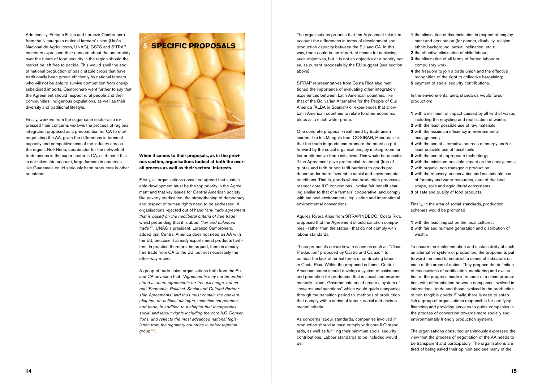Additionally, Enrique Fallas and Lorenzo Cambronero from the Nicaraguan national farmers' union (Unión Nacional de Agricultores, UNAG), CSTS and SITRAP members expressed their concern about the uncertainty over the future of food security in the region should the market be left free to decide. This would spell the end of national production of basic staple crops that have traditionally been grown efficiently by national farmers who will not be able to survive competition from cheap subsidised imports. Cambronero went further to say that the Agreement should respect rural people and their communities, indigenous populations, as well as their diversity and traditional lifestyle.

Finally, workers from the sugar cane sector also expressed their concerns vis-à-vis the process of regional integration proposed as a precondition for CA to start negotiating the AA, given the differences in terms of capacity and competitiveness of the industry across the region. Noé Nerio, coordinator for the network of trade unions in the sugar sector in CA, said that if this is not taken into account, large farmers in countries like Guatemala could seriously harm producers in other countries.



#### **When it comes to their proposals, as in the previous section, organisations looked at both the overall process as well as their sectoral interests.**

Firstly, all organisations consulted agreed that sustainable development must be the top priority in the Agreement and that key issues for Central American society like poverty eradication, the strengthening of democracy and respect of human rights need to be addressed. All organisations rejected out of hand *"any trade agreement that is based on the neoliberal criteria of free trade"* whilst pretending that it is about *"fair and balanced trade"*<sup>22</sup>*.* UNAG's president, Lorenzo Cambronero, added that Central America does not need an AA with the EU, because it already exports most products tarifffree. In practice therefore, he argued, there is already free trade from CA to the EU, but not necessarily the other way round.

A group of trade union organisations both from the EU and CA advocate that: *"Agreements may not be understood as mere agreements for free exchange, but as real 'Economic, Political, Social and Cultural Partnership Agreements' and thus must contain the relevant chapters on political dialogue, technical cooperation and trade, in addition to a chapter that incorporates social and labour rights including the core ILO Conventions, and reflects the most advanced national legislation from the signatory countries in either regional group"*23.

- **1** with a minimum of impact caused by all kind of waste, including the recycling and reutilisation of waste;
- **2** with the least possible use of raw materials;
- **3** with the maximum efficiency in environmental management;
- **4** with the use of alternative sources of energy and/or least possible use of fossil fuels;
- **5** with the use of appropriate technology;
- **6** with the minimum possible impact on the ecosystems;
- **7** with organic, non-transgenic production;
- **8** with the recovery, conservation and sustainable use of forestry and water resources, care of the landscape, soils and agricultural ecosystems
- **9** of safe and quality of food products.

The organisations propose that the Agreement take into account the differences in terms of development and production capacity between the EU and CA. In this way, trade could be an important means for achieving such objectives, but it is not an objective or a priority per se, as current proposals by the EU suggest (see section above).

SITRAP representatives from Costa Rica also mentioned the importance of evaluating other integration experiences between Latin American countries, like that of the Bolivarian Alternative for the People of Our America (ALBA in Spanish) or experiences that allow Latin American countries to relate to other economic blocs as a much wider group.

One concrete proposal - reaffirmed by trade union leaders like Iris Munguía from COSIBAH, Honduras - is that the trade in goods can promote the priorities put forward by the social organisations, by making room for fair or alternative trade initiatives. This would be possible if the Agreement gave preferential treatment (free of quotas and tariff or non-tariff barriers) to goods produced under more favourable social and environmental conditions. That is, goods whose production processes respect core ILO conventions, involve fair benefit sharing similar to that of a farmers' cooperative, and comply with national environmental legislation and international environmental conventions.

Aquiles Rivera Arias from SITRAPINDECO, Costa Rica, proposed that the Agreement should sanction companies - rather than the states - that do not comply with labour standards.

These proposals coincide with schemes such as "Clean Production" proposed by Castro and Carazo<sup>24</sup> to combat the lack of formal forms of contracting labour in Costa Rica. Within the proposed scheme, Central American states should develop a system of assistance and promotion for production that is social and environmentally 'clean'. Governments could create a system of "rewards and sanctions" which would guide companies through the transition period to methods of production that comply with a series of labour, social and environmental criteria.

As concerns labour standards, companies involved in production should at least comply with core ILO standards, as well as fulfilling their minimum social security contributions. Labour standards to be included would be:

- **1** the elimination of discrimination in respect of employment and occupation (for gender, disability, religion, ethnic background, sexual inclination, etc.);
- **2** the effective elimination of child labour;
- **3** the elimination of all forms of forced labour or compulsory work,
- **4** the freedom to join a trade union and the effective recognition of the right to collective bargaining;
- **5** payment of social security contributions.

In the environmental area, standards would favour production:

Finally, in the area of social standards, production schemes would be promoted

- **1** with the least impact on the local cultures;
- **2** with fair and humane generation and distribution of wealth.

To ensure the implementation and sustainability of such an alternative system of production, the proponents put forward the need to establish a series of indicators on each of the areas of action. They propose the definition of mechanisms of certification, monitoring and evaluation of the progress made in respect of a clean production, with differentiation between companies involved in international trade and those involved in the production of non-tangible goods. Finally, there is need to establish a group of organisations responsible for certifying, financing and providing services to guide companies in the process of conversion towards more socially and environmentally friendly production systems.

The organisations consulted unanimously expressed the view that the process of negotiation of the AA needs to be transparent and participatory. The organisations are tired of being asked their opinion and see many of the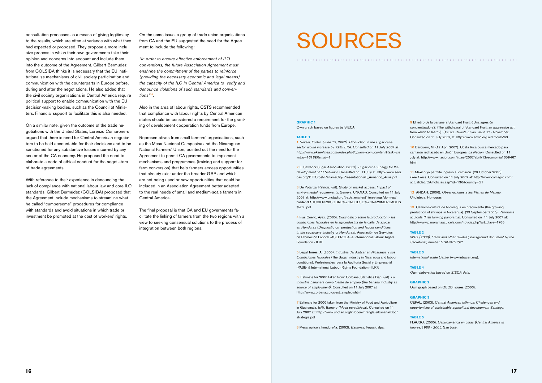consultation processes as a means of giving legitimacy to the results, which are often at variance with what they had expected or proposed. They propose a more inclusive process in which their own governments take their opinion and concerns into account and include them into the outcome of the Agreement. Gilbert Bermudez from COLSIBA thinks it is necessary that the EU institutionalise mechanisms of civil society participation and communication with the counterparts in Europe before, during and after the negotiations. He also added that the civil society organisations in Central America require political support to enable communication with the EU decision-making bodies, such as the Council of Ministers. Financial support to facilitate this is also needed.

On a similar note, given the outcome of the trade negotiations with the United States, Lorenzo Combronero argued that there is need for Central American negotiators to be held accountable for their decisions and to be sanctioned for any substantive losses incurred by any sector of the CA economy. He proposed the need to elaborate a code of ethical conduct for the negotiators of trade agreements.

Also in the area of labour rights, CSTS recommended that compliance with labour rights by Central American states should be considered a requirement for the granting of development cooperation funds from Europe.

With reference to their experience in denouncing the lack of compliance with national labour law and core ILO standards, Gilbert Bermúdez (COLSIBA) proposed that the Agreement include mechanisms to streamline what he called "cumbersome" procedures for compliance with standards and avoid situations in which trade or investment be promoted at the cost of workers' rights.

On the same issue, a group of trade union organisations from CA and the EU suggested the need for the Agreement to include the following:

*"In order to ensure effective enforcement of ILO conventions, the future Association Agreement must enshrine the commitment of the parties to reinforce (providing the necessary economic and legal means) the capacity of the ILO in Central America to verify and denounce violations of such standards and conventions"*25.

Representatives from small farmers' organisations, such as the Mesa Nacional Campesina and the Nicaraguan National Farmers' Union, pointed out the need for the Agreement to permit CA governments to implement mechanisms and programmes (training and support for farm conversion) that help farmers access opportunities that already exist under the broader GSP and which are not being used or new opportunities that could be included in an Association Agreement better adapted to the real needs of small and medium-scale farmers in Central America.

The final proposal is that CA and EU governments facilitate the linking of farmers from the two regions with a view to seeking consensual solutions to the process of integration between both regions.

## SOURCES

**GRAPHIC 1**

Own graph based on figures by SIECA.

#### **TABLE 1**

1 *Novelli, Porter. (June 12, 2007). Production in the sugar cane sector would increase by 72%. EKA. Consulted on 11 July 2007 at http://www.ekaenlinea.com/index.php?option=com\_content&task=vie w&id=1618&Itemid=1*

2 El Salvador Sugar Association. (2007). *Sugar cane: Energy for the development of El Salvador.* Consulted on 11 July at: http://www.sedi. oas.org/DTTC/psf/PanamaCity/Presentations/F\_Armando\_Arias.pdf

3 De Potanza, Patricia. (s/f). Study on market access: *Impact of environmental requirements.* Geneva: UNCTAD. Consulted on 11 July 2007 at: http://www.unctad.org/trade\_env/test1/meetings/domrep/ hidden/ESTUDIO%20SOBRE%20ACCESO%20A%20MERCADOS %20II.pdf

4 Irías Coello, Ayax. (2005). *Diagnóstico sobre la producción y las condiciones laborales en la agroindustria de la caña de azúcar en Honduras (Diagnostic on production and labour conditions in the sugarcane industry of Honduras).* Asociación de Servicios de Promoción Laboral -ASEPROLA- & International Labour Rights Foundation - ILRF.

5 Legal Torres, A. (2005). *Industria del Azúcar en Nicaragua y sus Condiciones laborales* (The Sugar Industry in Nicaragua and labour conditions). Profesionales para la Auditoria Social y Empresarial -PASE- & International Labour Rights Foundation - ILRF.

6 Estimate for 2006 taken from: Corbana, Statistics Dep. (s/f). *La industria bananera como fuente de empleo (the banana industry as source of employment).* Consulted on 11 July 2007 at http://www.corbana.co.cr/est\_empleo.shtml

7 Estimate for 2000 taken from the Ministry of Food and Agriculture in Guatemala. (s/f). *Banano (Musa paradisiaca).* Consulted on 11 July 2007 at: http://www.unctad.org/infocomm/anglais/banana/Doc/ strategie.pdf

8 Mesa agrícola hondureña. (2002). *Bananas.* Tegucigalpa.

9 El retiro de la bananera Standard Fruit: ¿Una agresión concientizadora?. (The withdrawal of Standard Fruit: an aggressive act from which to learn?) (1982). *Revista Envío.* Issue 17 - November. Consulted on 11 July 2007, at: http://www.envio.org.ni/articulo/63

10 Barquero, M. (12 April 2007). Costa Rica busca mercado para camarón rechazado en Unión Europea. *La Nación.* Consulted on 11 July at: http://www.nacion.com/ln\_ee/2007/abril/12/economia1059467. html

11 México ya permite ingreso al camarón. (20 October 2006). *Free Press.* Consulted on 11 July 2007 at: http://www.camagro.com/ actualidad/CA/noticias.asp?id=136&country=GT

12 ANDAH. (2006). *Observaciones a los Planes de Manejo.* Choluteca, Honduras.

13 Camaronicultura de Nicaragua en crecimiento (the growing production of shrimps in Nicaragua). (23 September 2005). Panorama acuícola *(Fish farming panorama).* Consulted on 11 July 2007 at: http://www.panoramaacuicola.com/noticia.php?art\_clave=1766

#### **TABLE 2**

*WTO (2000), "Tariff and other Quotas", background document by the Secretariat, number G/AG/NG/S/7.*

#### **TABLE 3**

*International Trade Center* (www.intracen.org).

#### **TABLE 4**

*Own elaboration based on SIECA data.*

#### **GRAPHIC 2**

Own graph based on OECD figures (2003).

#### **GRAPHIC 3**

CEPAL. (2003). *Central American Isthmus: Challenges and opportunities of sustainable agricultural development Santiago.*

#### **TABLE 5**

FLACSO. (2005). *Centroamérica en cifras (Central America in figures)1980 - 2005.* San José.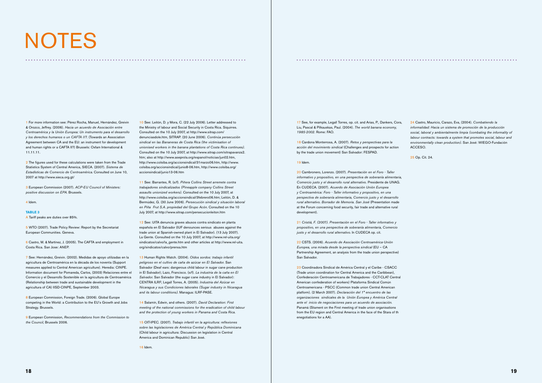## NOTES

1 For more information see: Pérez Rocha, Manuel, Hernández, Greivin & Orozco, Jeffrey. (2006). *Hacia un acuerdo de Asociación entre Centroamérica y la Unión Europea: Un instrumento para el desarrollo y los derechos humanos o un CAFTA II?.* (Towards an Association Agreement between CA and the EU: an instrument for development and human rights or a CAFTA II?) Brussels: Oxfam International & 11.11.11.

2 The figures used for these calculations were taken from the Trade Statistics System of Central America, SIECA. (2007). *Sistema de Estadísticas de Comercio de Centroamérica.* Consulted on June 10, 2007 at http://www.sieca.org.gt/

3 European Commission (2007). *ACP-EU Council of Ministers: positive discussion on EPA.* Brussels.

#### 4 Idem.

#### **TABLE 3**

A Tariff peaks are duties over 85%.

5 WTO (2007). Trade Policy Review: Report by the Secretariat European Communities. Geneva.

6 Castro, M. & Martínez, J. (2005). The CAFTA and employment in Costa Rica. San Jose: ANEP.

7 See: Hernández, Greivin. (2002). Medidas de apoyo utilizadas en la agricultura de Centroamérica en la década de los noventa (Support measures applied to Central American agriculture). Heredia: CINPE. Information document for Pomareda, Carlos, (2003) Relaciones entre el Comercio y el Desarrollo Sostenible en la agricultura de Centroamérica (Relationship between trade and sustainable development in the agricultura of CA) IISD-CINPE, September 2003.

8 European Commission, Foreign Trade. (2006). Global Europe competing in the World: a Contribution to the EU's Growth and Jobs Strategy. Brussels.

9 European Commission, *Recommendations from the Commission to the Council,* Brussels 2006.

10 See: Leitón, D. y Mora, C. (22 July 2006). Letter addressed to the Ministry of labour and Social Security in Costa Rica. Siquirres. Consulted on the 10 July 2007, at http://www.sitrap.com/ denunciasdole.htm, SITRAP. (20 June 2006). *Continúa persecución sindical en las Bananeras de Costa Rica (the victimisation of unionised workers in the banana plantations of Costa Rica continues).* Consulted on the 10 July 2007, at http://www.sitrap.com/sitrapavanza2. htm; also at http://www.aseprola.org/espanol/noticias/jun02.htm, http://www.colsiba.org/accionsindical/31marzo06.htm, http://www. colsiba.org/accionsindical/junio8-06.htm, http://www.colsiba.org/ accionsindical/junio13-06.htm

11 See: Barrantes, R. (s/f). *Piñera Collins Street arremete contra trabajadores sindicalizados (Pineapple company Collins Street assaults unionized workers).* Consulted on the 10 July 2007, at http://www.colsiba.org/accionsindical/3febrero06.htm; Leitón, D. & Bermúdez, G. (30 June 2006). *Persecución sindical y situación laboral en Piña Frut S.A. propiedad del Grupo Acón.* Consulted on the 10 July 2007, at http://www.sitrap.com/persecucionleiton.htm

12 See: UITA denuncia graves abusos contra sindicato en planta española en El Salvador (IUF denounces serious abuses against the trade union at Spanish-owned plant in El Salvador). (13 July 2007). La Gente. Consulted on the 10 July 2007, at http://www.rel-uita.org/ sindicatos/calvo/la\_gente.htm and other articles at http://www.rel-uita. org/sindicatos/calvo/prensa.htm

13 Human Rights Watch. (2004). *Oídos sordos: trabajo infantil peligroso en el cultivo de caña de azúcar en El Salvador.* San Salvador (Deaf ears: dangerous child labour in sugar cane production in El Salvador); Lazo, Francisco. (s/f). *La industria de la caña en El Salvador.* San Salvador (the sugar cane industry in El Salvador): CENTRA ILRF; Legall Torres, A. (2005). *Industria del Azúcar en Nicaragua y sus Condiciones laborales (Sugar industry in Nicaragua and its labour conditions).* Managua: ILRF-PASE.

14 Salamín, Edwin, and others. (2007). *David Declaration: First meeting of the national commissions for the eradication of child labour and the protection of young workers in Panama and Costa Rica.*

15 OIT-IPEC. (2007). *Trabajo infantil en la agricultura: reflexiones sobre las legislaciones de América Central y República Dominicana* (Child labour in agricultura: Discussion on legislation in Central America and Dominican Republic) San José.

16 Idem.

17 See, for example, Legall Torres, op. cit. and Arias, P., Dankers, Cora, Liu, Pascal & Pilkauskas, Paul. (2004). *The world banana economy, 1985-2002.* Rome: FAO.

18 Cardona Monterrosa, A. (2007). *Retos y perspectivas para la acción del movimiento sindical* (Challenges and prospects for action by the trade union movement) San Salvador: FESPAD.

#### 19 Idem.

20 Cambronero, Lorenzo. (2007). *Presentación en el Foro - Taller informativo y propositivo, en una perspectiva de soberanía alimentaria, Comercio justo y el desarrollo rural alternativo.* Presidente de UNAG. En CUDECA. (2007). *Acuerdo de Asociación Unión Europea y Centroamérica: Foro - Taller informativo y propositivo, en una perspectiva de soberanía alimentaria, Comercio justo y el desarrollo rural alternativo. Borrador de Memoria. San José* (Presentation made at the Forum concerning food security, fair trade and alternative rural development).

21 *Cristiá, F. (2007). Presentación en el Foro - Taller informativo y propositivo, en una perspectiva de soberanía alimentaria, Comercio justo y el desarrollo rural alternativo.* In CUDECA op. cit.

22 CSTS. (2006). *Acuerdo de Asociación Centroamérica-Unión Europea, una mirada desde la perspectiva sindical* (EU – CA Partnership Agreement, an analysis from the trade union perspective) San Salvador.

23 Coordinadora Sindical de América Central y el Caribe - CSACC (Trade union coordination for Central America and the Caribbean), Confederación Centroamericana de Trabajadores - CCT-CLAT Central American confederation of workers) Plataforma Sindical Común Centroamericana - PSCC (Common trade union Central American platform). (2 March 2007). *Declaración del 1° encuentro de las organizaciones sindicales de la Unión Europea y América Central ante el inicio de negociaciones para un acuerdo de asociación.* Panamá (Stament on the First meeting of trade union organisations from the EU region and Central America in the face of the Stara of th enegotiations for a AA).

24 Castro, Mauricio, Carazo, Eva, (2004). *Combatiendo la informalidad: Hacia un sistema de promoción de la producción social, laboral y ambientalmente limpia (combating the informality of labour contracts: towards a system that promotes social, labour and environmentally clean production).* San José: WIEGO-Fundación ACCESO.

25 Op. Cit. 24.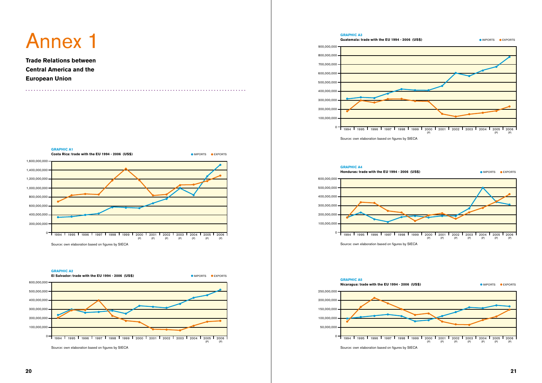



Source: own elaboration based on figures by SIECA





Source: own elaboration based on figures by SIECA



Source: own elaboration based on figures by SIECA

**GRAPHIC A5**



Source: own elaboration based on figures by SIECA

**Trade Relations between Central America and the European Union**

## Annex 1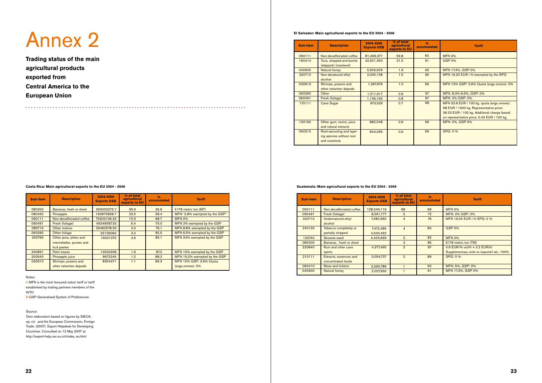**Trading status of the main agricultural products exported from Central America to the European Union**

## Annex 2

Notes:

A MFN is the most favoured nation tariff or tariff established by trading partners members of the WTO

**B GSP Generalised System of Preferences** 

| Sub-item | <b>Description</b>                                                | 2004-2006<br><b>Exports US\$</b> | % of total<br>agricultural<br>exports to EU | 0/6<br>accumulated | <b>Tariff</b>                                          |
|----------|-------------------------------------------------------------------|----------------------------------|---------------------------------------------|--------------------|--------------------------------------------------------|
| 080300   | Bananas, fresh or dried                                           | 262000275.7                      | 35.9                                        | 35.9               | €176 metric ton $(MT)$                                 |
| 080430   | Pineapple                                                         | 163875838.7                      | 22.5                                        | 58.4               | MFN <sup>A</sup> 5.8% exempted by the GSP <sup>B</sup> |
| 090111   | Non-decaffeinated coffee                                          | 75203139.33                      | 10.3                                        | 68.7               | <b>MFN 0%</b>                                          |
| 060491   | Fresh (foliage)                                                   | 46349587.33                      | 6.4                                         | 75.0               | MFN 2% exempted by the GSP                             |
| 080719   | Other melons                                                      | 29462578.33                      | 4.0                                         | 79.1               | MFN 8.8% exempted by the GSP                           |
| 060290   | Other foliage                                                     | 25126084                         | 3.4                                         | 82.5               | MFN 6.5% exempted by the GSP                           |
| 200799   | Other jams, jellies and<br>marmelades, purees and<br>fruit pastes | 19031375                         | 2.6                                         | 85.1               | MFN 24% exempted by the GSP                            |
| 200891   | Palm hearts                                                       | 13530258                         | 1.9                                         | 87.0               | MFN 10% exempted by the GSP                            |
| 200940   | Pineapple juice                                                   | 8672245                          | 1.2                                         | 88.2               | MFN 15.2% exempted by the GSP                          |
| 030613   | Shrimps, prawns and<br>other natantian depods                     | 8354471                          | 1.1                                         | 89.3               | MFN 12% GSP: 3.6% Quota<br>(erga omnes): 0%            |

#### **Costa Rica: Main agricultural exports to the EU 2004 - 2006**

#### Source:

Own elaboration based on figures by SIECA, op. cit. and the European Commission, Foreign Trade. (2007). Export Helpdesk for Developing Countries. Consulted on 12 May 2007 at http://export-help.cec.eu.int/index\_es.html

| Sub-item | <b>Description</b>                                                     | 2004-2006<br><b>Exports US\$</b> | % of total<br>agricultural<br>exports to EU | 0/n<br>accumulated | <b>Tariff</b>                                                                                                                                                                       |
|----------|------------------------------------------------------------------------|----------------------------------|---------------------------------------------|--------------------|-------------------------------------------------------------------------------------------------------------------------------------------------------------------------------------|
| 090111   | Non-decaffeinated coffee                                               | 81,469,377                       | 59.8                                        | 60                 | <b>MFN 0%</b>                                                                                                                                                                       |
| 160414   | Tuna, stripped and bonito<br>(skipjack) (mackerel)                     | 42,921,450                       | 31.5                                        | 91                 | <b>GSP 0%</b>                                                                                                                                                                       |
| 040900   | Natural honey                                                          | 2,606,906                        | 1.9                                         | 93                 | MFN 17.3%, GSP 0%                                                                                                                                                                   |
| 220710   | Non-denatured ethyl<br>alcohol                                         | 2,000,138                        | 1.5                                         | 95                 | MFN 19.20 EUR / hl exempted by the SPG                                                                                                                                              |
| 030613   | Shrimps, prawns and<br>other natantian depods                          | 1,367,676                        | 1.0                                         | 96                 | MFN 12% GSP: 3.6% Quota (erga omnes): 0%                                                                                                                                            |
| 060290   | Other                                                                  | 1,211,917                        | 0.9                                         | 97                 | MFN: 8.3%-6.5%, GSP: 0%                                                                                                                                                             |
| 060491   | Fresh (foliage)                                                        | 1,136,190                        | 0.8                                         | 97                 | MFN: 2% GSP: 0%                                                                                                                                                                     |
| 170111   | Cane Sugar                                                             | 973,526                          | 0.7                                         | 98                 | MFN 33.9 EUR / 100 kg. quota (erga omnes):<br>98 EUR / 1000 kg. Representative price:<br>36.22 EUR / 100 kg. Additional charge based<br>on representative price: 0.42 EUR / 100 kg. |
| 130190   | Other gum, resins, juice<br>and natural extracts                       | 882,548                          | 0.6                                         | 99                 | MFN: 0%, GSP 0%                                                                                                                                                                     |
| 060210   | Root-sprouting and layer-<br>ing species without root<br>and rootstock | 844,065                          | 0.6                                         | 99                 | <b>SPG: 0 %</b>                                                                                                                                                                     |

#### **El Salvador: Main agricultural exports to the EU 2004 - 2006**

| Sub-item | <b>Description</b>                           | 2004-2006<br><b>Exports US\$</b> | % of total<br>agricultural<br>exports to EU | 0/6<br>accumulated | <b>Tariff</b>                                                               |
|----------|----------------------------------------------|----------------------------------|---------------------------------------------|--------------------|-----------------------------------------------------------------------------|
| 090111   | Non-decaffeinated coffee                     | 128,049,116                      | 68                                          | 68                 | <b>MFN 0%</b>                                                               |
| 060491   | Fresh (foliage)                              | 8,561,777                        | 5                                           | 72                 | MFN: 2% GSP: 0%                                                             |
| 220710   | Undernatured ethyl<br>alcohol                | 7,480,960                        | 4                                           | 76                 | MFN 19.20 EUR / hl SPG: 0 %                                                 |
| 240120   | Tobacco completely or<br>partially stripped  | 7,472,485<br>4,533,492           | $\overline{\mathbf{4}}$                     | 80                 | <b>GSP 0%</b>                                                               |
| 120740   | Sesame-seed                                  | 4,403,669                        | $\overline{2}$                              | 82                 | <b>MFN 0%</b>                                                               |
| 080300   | Bananas, fresh or dried                      |                                  | $\mathfrak{p}$                              | 85                 | E176 metric ton (TM)                                                        |
| 220840   | Rum and other cane<br>spirits                | 4,377,495                        | $\overline{2}$                              | 87                 | 0.6 EUR/% vol/hl + 3.2 EUR/hl<br>Supplementary units to imports/l alc. 100% |
| 210111   | Extracts, essences and<br>concentrated foods | 3,054,737                        | $\overline{2}$                              | 89                 | SPG: 0 %                                                                    |
| 060410   | Moss and lichens                             | 2,560,789                        |                                             | 90                 | MFN: 5%, GSP: 0%                                                            |
| 040900   | Natural honey                                | 2,027,930                        |                                             | 91                 | MFN 17.3%, GSP 0%                                                           |

#### **Guatemala: Main agricultural exports to the EU 2004 - 2006**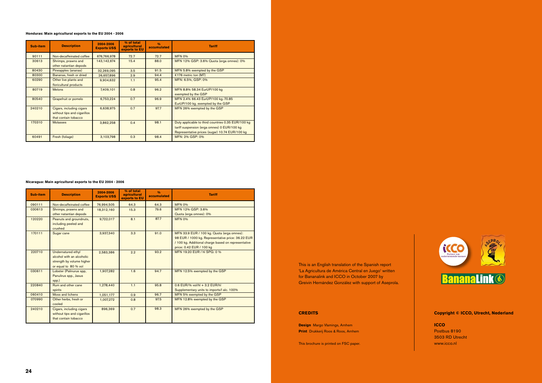| Sub-item | <b>Description</b>                                                              | 2004-2006<br><b>Exports US\$</b> | % of total<br>agricultural<br>exports to EU | 0/6<br>accumulated | <b>Tariff</b>                                                                                                                                       |
|----------|---------------------------------------------------------------------------------|----------------------------------|---------------------------------------------|--------------------|-----------------------------------------------------------------------------------------------------------------------------------------------------|
| 90111    | Non-decaffeinated coffee                                                        | 676,766,978                      | 72.7                                        | 72.7               | <b>MFN 0%</b>                                                                                                                                       |
| 30613    | Shrimps, prawns and<br>other natantian depods                                   | 143,142,674                      | 15.4                                        | 88.0               | MFN 12% GSP: 3.6% Quota (erga omnes): 0%                                                                                                            |
| 80430    | Pineapples (ananas)                                                             | 32,269,095                       | 3.5                                         | 91.5               | MFN 5.8% exempted by the GSP                                                                                                                        |
| 80300    | Bananas, fresh or dried                                                         | 26,657,896                       | 2.9                                         | 94.4               | €176 metric ton $(MT)$                                                                                                                              |
| 60290    | Other live plants and<br>floricultural products                                 | 9,904,632                        | 1.1                                         | 95.4               | MFN: 6.5%, GSP: 0%                                                                                                                                  |
| 80719    | <b>Melons</b>                                                                   | 7,409,101                        | 0.8                                         | 96.2               | MFN 8.8% 58.34 EurUP/100 kg<br>exempted by the GSP                                                                                                  |
| 80540    | Grapefruit or pomelo                                                            | 6,753,224                        | 0.7                                         | 96.9               | MFN 2.4% 66.43 EurUP/100 kg.-70.85<br>EurUP/100 kg. exempted by the GSP                                                                             |
| 240210   | Cigars, including cigars<br>without tips and cigarillos<br>that contain tobacco | 6,638,975                        | 0.7                                         | 97.7               | MFN 26% exempted by the GSP                                                                                                                         |
| 170310   | <b>Molasses</b>                                                                 | 3,862,258                        | 0.4                                         | 98.1               | Duty applicable to third countries 0.35 EUR/100 kg<br>tariff suspension (erga omnes) 0 EUR/100 kg<br>Representative prices (sugar) 10.74 EUR/100 kg |
| 60491    | Fresh (foliage)                                                                 | 3,103,798                        | 0.3                                         | 98.4               | MFN: 2% GSP: 0%                                                                                                                                     |

#### **Honduras: Main agricultural exports to the EU 2004 - 2006**

| Sub-item | <b>Description</b>                                                                                   | 2004-2006<br><b>Exports US\$</b> | % of total<br>agricultural<br>exports to EU | 0/6<br>accumulated | <b>Tariff</b>                                       |
|----------|------------------------------------------------------------------------------------------------------|----------------------------------|---------------------------------------------|--------------------|-----------------------------------------------------|
| 090111   | Non-decaffeinated coffee                                                                             | 76,994,505                       | 64.3                                        | 64.3               | <b>MFN 0%</b>                                       |
| 030613   | Shrimps, prawns and                                                                                  | 18,312,160                       | 15.3                                        | 79.6               | MFN 12% GSP: 3.6%                                   |
|          | other natantian depods                                                                               |                                  |                                             |                    | Quota (erga omnes): 0%                              |
| 120220   | Peanuts and groundnuts,<br>including peeled and<br>crushed                                           | 9,722,017                        | 8.1                                         | 87.7               | <b>MFN 0%</b>                                       |
| 170111   | Sugar cane                                                                                           | 3,937,340                        | 3.3                                         | 91.0               | MFN 33.9 EUR / 100 kg. Quota (erga omnes):          |
|          |                                                                                                      |                                  |                                             |                    | 98 EUR / 1000 kg. Representative price: 36.22 EUR   |
|          |                                                                                                      |                                  |                                             |                    | / 100 kg. Additional charge based on representative |
|          |                                                                                                      |                                  |                                             |                    | price: 0.42 EUR / 100 kg                            |
| 220710   | Undernatured ethyl<br>alcohol with an alcoholic<br>strength by volume higher<br>or equal to 80 % vol | 2,583,386                        | 2.2                                         | 93.2               | MFN 19.20 EUR / hl SPG: 0 %                         |
| 030611   | Lobster (Palinurus spp,<br>Panulirus spp., Jasus<br>spp.)                                            | 1,907,282                        | 1.6                                         | 94.7               | MFN 12.5% exempted by the GSP                       |
| 220840   | Rum and other cane                                                                                   | 1,278,440                        | 1.1                                         | 95.8               | $0.6$ EUR/% vol/hl + 3.2 EUR/hl                     |
|          | spirits                                                                                              |                                  |                                             |                    | Supplementary units to imports/l alc. 100%          |
| 060410   | Moss and lichens                                                                                     | 1,051,177                        | 0.9                                         | 96.7               | MFN 5% exempted by the GSP                          |
| 070990   | Other herbs, fresh or<br>cooled                                                                      | 1,007,272                        | 0.8                                         | 97.5               | MFN 12.8% exempted by the GSP                       |
| 240210   | Cigars, including cigars<br>without tips and cigarillos<br>that contain tobacco                      | 896,369                          | 0.7                                         | 98.3               | MFN 26% exempted by the GSP                         |

#### **Nicaragua: Main agricultural exports to the EU 2004 - 2006**



#### **CREDITS**

**Design** Margo Vlamings, Arnhem **Print** Drukkerij Roos & Roos, Arnhem

This brochure is printed on FSC paper.

#### **Copyright © ICCO, Utrecht, Nederland**

**ICCO** Postbus 8190 3503 RD Utrecht www.icco.nl

This is an English translation of the Spanish report 'La Agricultura de América Central en Juego' written for Bananalink and ICCO in October 2007 by Greivin Hernández González with support of Aseprola.